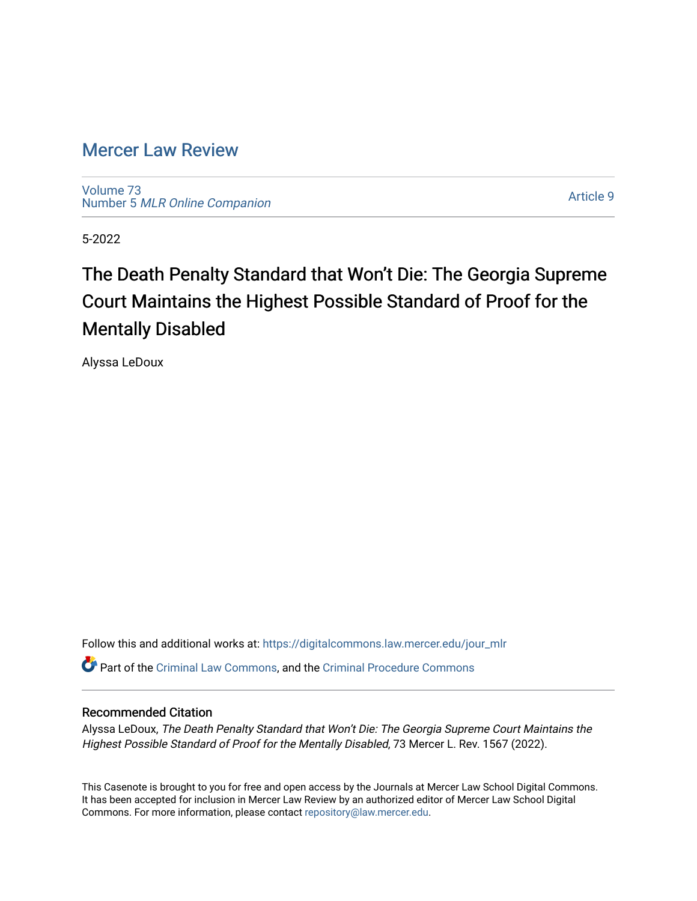# [Mercer Law Review](https://digitalcommons.law.mercer.edu/jour_mlr)

[Volume 73](https://digitalcommons.law.mercer.edu/jour_mlr/vol73) Number 5 [MLR Online Companion](https://digitalcommons.law.mercer.edu/jour_mlr/vol73/iss5) 

[Article 9](https://digitalcommons.law.mercer.edu/jour_mlr/vol73/iss5/9) 

5-2022

# The Death Penalty Standard that Won't Die: The Georgia Supreme Court Maintains the Highest Possible Standard of Proof for the Mentally Disabled

Alyssa LeDoux

Follow this and additional works at: [https://digitalcommons.law.mercer.edu/jour\\_mlr](https://digitalcommons.law.mercer.edu/jour_mlr?utm_source=digitalcommons.law.mercer.edu%2Fjour_mlr%2Fvol73%2Fiss5%2F9&utm_medium=PDF&utm_campaign=PDFCoverPages) Part of the [Criminal Law Commons,](https://network.bepress.com/hgg/discipline/912?utm_source=digitalcommons.law.mercer.edu%2Fjour_mlr%2Fvol73%2Fiss5%2F9&utm_medium=PDF&utm_campaign=PDFCoverPages) and the [Criminal Procedure Commons](https://network.bepress.com/hgg/discipline/1073?utm_source=digitalcommons.law.mercer.edu%2Fjour_mlr%2Fvol73%2Fiss5%2F9&utm_medium=PDF&utm_campaign=PDFCoverPages)

# Recommended Citation

Alyssa LeDoux, The Death Penalty Standard that Won't Die: The Georgia Supreme Court Maintains the Highest Possible Standard of Proof for the Mentally Disabled, 73 Mercer L. Rev. 1567 (2022).

This Casenote is brought to you for free and open access by the Journals at Mercer Law School Digital Commons. It has been accepted for inclusion in Mercer Law Review by an authorized editor of Mercer Law School Digital Commons. For more information, please contact [repository@law.mercer.edu.](mailto:repository@law.mercer.edu)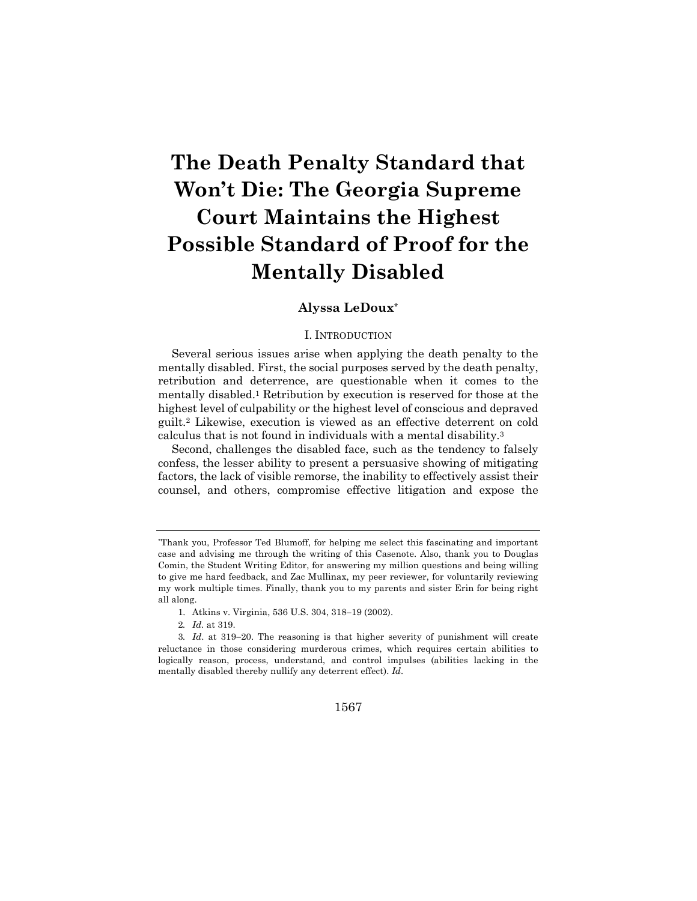# **The Death Penalty Standard that Won't Die: The Georgia Supreme Court Maintains the Highest Possible Standard of Proof for the Mentally Disabled**

# **Alyssa LeDoux\***

#### I. INTRODUCTION

Several serious issues arise when applying the death penalty to the mentally disabled. First, the social purposes served by the death penalty, retribution and deterrence, are questionable when it comes to the mentally disabled.1 Retribution by execution is reserved for those at the highest level of culpability or the highest level of conscious and depraved guilt.2 Likewise, execution is viewed as an effective deterrent on cold calculus that is not found in individuals with a mental disability.3

Second, challenges the disabled face, such as the tendency to falsely confess, the lesser ability to present a persuasive showing of mitigating factors, the lack of visible remorse, the inability to effectively assist their counsel, and others, compromise effective litigation and expose the

#### 1567

<sup>\*</sup>Thank you, Professor Ted Blumoff, for helping me select this fascinating and important case and advising me through the writing of this Casenote. Also, thank you to Douglas Comin, the Student Writing Editor, for answering my million questions and being willing to give me hard feedback, and Zac Mullinax, my peer reviewer, for voluntarily reviewing my work multiple times. Finally, thank you to my parents and sister Erin for being right all along.

<sup>1.</sup> Atkins v. Virginia, 536 U.S. 304, 318-19 (2002).

<sup>2</sup>*. Id.* at 319.

<sup>3</sup>*. Id*. at 319-20. The reasoning is that higher severity of punishment will create reluctance in those considering murderous crimes, which requires certain abilities to logically reason, process, understand, and control impulses (abilities lacking in the mentally disabled thereby nullify any deterrent effect). *Id*.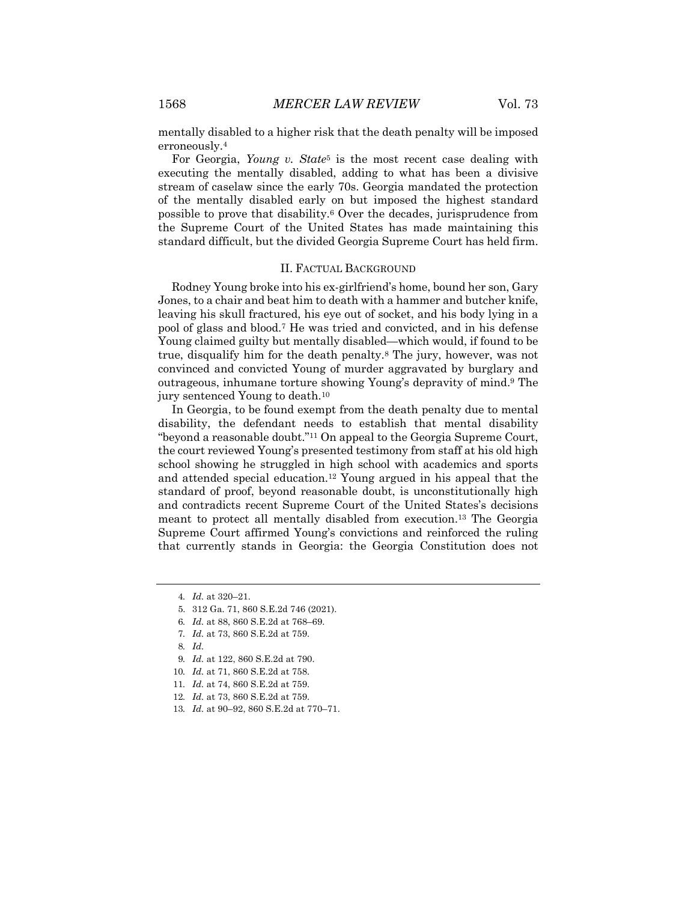mentally disabled to a higher risk that the death penalty will be imposed erroneously.4

For Georgia, *Young v. State*<sup>5</sup> is the most recent case dealing with executing the mentally disabled, adding to what has been a divisive stream of caselaw since the early 70s. Georgia mandated the protection of the mentally disabled early on but imposed the highest standard possible to prove that disability.6 Over the decades, jurisprudence from the Supreme Court of the United States has made maintaining this standard difficult, but the divided Georgia Supreme Court has held firm.

### II. FACTUAL BACKGROUND

Rodney Young broke into his ex-girlfriend's home, bound her son, Gary Jones, to a chair and beat him to death with a hammer and butcher knife, leaving his skull fractured, his eye out of socket, and his body lying in a pool of glass and blood.7 He was tried and convicted, and in his defense Young claimed guilty but mentally disabled—which would, if found to be true, disqualify him for the death penalty.8 The jury, however, was not convinced and convicted Young of murder aggravated by burglary and outrageous, inhumane torture showing Young's depravity of mind.9 The jury sentenced Young to death.10

In Georgia, to be found exempt from the death penalty due to mental disability, the defendant needs to establish that mental disability "beyond a reasonable doubt."11 On appeal to the Georgia Supreme Court, the court reviewed Young's presented testimony from staff at his old high school showing he struggled in high school with academics and sports and attended special education.12 Young argued in his appeal that the standard of proof, beyond reasonable doubt, is unconstitutionally high and contradicts recent Supreme Court of the United States's decisions meant to protect all mentally disabled from execution.13 The Georgia Supreme Court affirmed Young's convictions and reinforced the ruling that currently stands in Georgia: the Georgia Constitution does not

- 6*. Id.* at 88, 860 S.E.2d at 768–69.
- 7*. Id.* at 73, 860 S.E.2d at 759.
- 8*. Id.*
- 9*. Id.* at 122, 860 S.E.2d at 790.
- 10*. Id.* at 71, 860 S.E.2d at 758.
- 11*. Id.* at 74, 860 S.E.2d at 759.
- 12*. Id.* at 73, 860 S.E.2d at 759.
- 13*. Id.* at 90–92, 860 S.E.2d at 770–71.

<sup>4</sup>*. Id.* at 320–21.

<sup>5.</sup> 312 Ga. 71, 860 S.E.2d 746 (2021).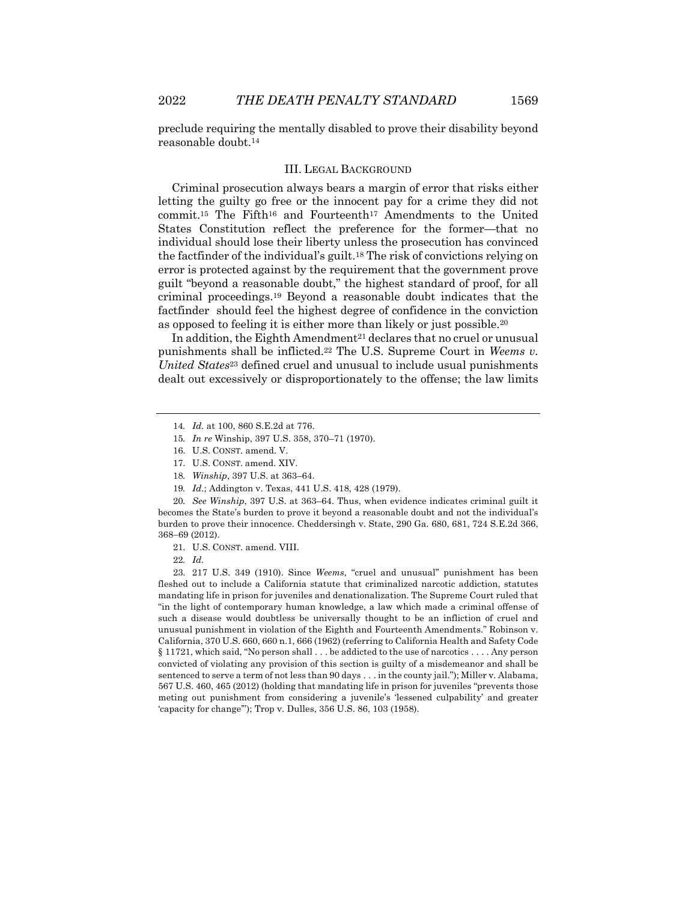preclude requiring the mentally disabled to prove their disability beyond reasonable doubt.14

# III. LEGAL BACKGROUND

Criminal prosecution always bears a margin of error that risks either letting the guilty go free or the innocent pay for a crime they did not commit.15 The Fifth16 and Fourteenth17 Amendments to the United States Constitution reflect the preference for the former—that no individual should lose their liberty unless the prosecution has convinced the factfinder of the individual's guilt.18 The risk of convictions relying on error is protected against by the requirement that the government prove guilt "beyond a reasonable doubt," the highest standard of proof, for all criminal proceedings.19 Beyond a reasonable doubt indicates that the factfinder should feel the highest degree of confidence in the conviction as opposed to feeling it is either more than likely or just possible.20

In addition, the Eighth Amendment<sup>21</sup> declares that no cruel or unusual punishments shall be inflicted.22 The U.S. Supreme Court in *Weems v. United States*<sup>23</sup> defined cruel and unusual to include usual punishments dealt out excessively or disproportionately to the offense; the law limits

20*. See Winship*, 397 U.S. at 363–64. Thus, when evidence indicates criminal guilt it becomes the State's burden to prove it beyond a reasonable doubt and not the individual's burden to prove their innocence. Cheddersingh v. State, 290 Ga. 680, 681, 724 S.E.2d 366, 368-69 (2012).

21. U.S. CONST. amend. VIII.

22*. Id.*

23. 217 U.S. 349 (1910). Since *Weems*, "cruel and unusual" punishment has been fleshed out to include a California statute that criminalized narcotic addiction, statutes mandating life in prison for juveniles and denationalization. The Supreme Court ruled that "in the light of contemporary human knowledge, a law which made a criminal offense of such a disease would doubtless be universally thought to be an infliction of cruel and unusual punishment in violation of the Eighth and Fourteenth Amendments." Robinson v. California, 370 U.S. 660, 660 n.1, 666 (1962) (referring to California Health and Safety Code § 11721, which said, "No person shall . . . be addicted to the use of narcotics . . . . Any person convicted of violating any provision of this section is guilty of a misdemeanor and shall be sentenced to serve a term of not less than 90 days . . . in the county jail."); Miller v. Alabama, 567 U.S. 460, 465 (2012) (holding that mandating life in prison for juveniles "prevents those meting out punishment from considering a juvenile's 'lessened culpability' and greater 'capacity for change'"); Trop v. Dulles, 356 U.S. 86, 103 (1958).

<sup>14</sup>*. Id.* at 100, 860 S.E.2d at 776.

<sup>15</sup>*. In re* Winship, 397 U.S. 358, 370–71 (1970).

<sup>16.</sup> U.S. CONST. amend. V.

<sup>17.</sup> U.S. CONST. amend. XIV.

<sup>18</sup>*. Winship*, 397 U.S. at 363–64.

<sup>19</sup>*. Id*.; Addington v. Texas, 441 U.S. 418, 428 (1979).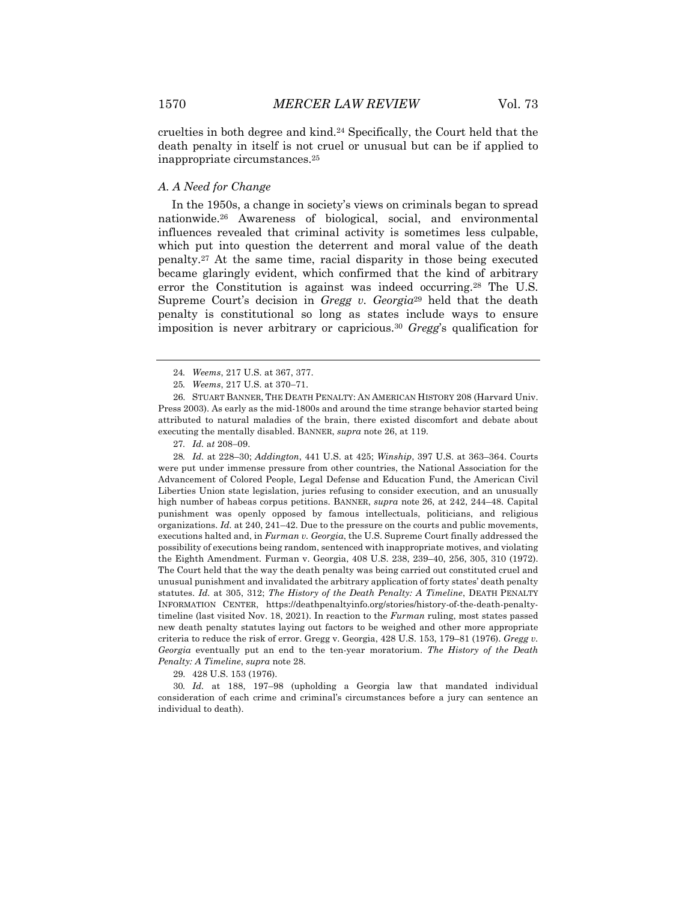cruelties in both degree and kind.24 Specifically, the Court held that the death penalty in itself is not cruel or unusual but can be if applied to inappropriate circumstances.25

# *A. A Need for Change*

In the 1950s, a change in society's views on criminals began to spread nationwide.26 Awareness of biological, social, and environmental influences revealed that criminal activity is sometimes less culpable, which put into question the deterrent and moral value of the death penalty.27 At the same time, racial disparity in those being executed became glaringly evident, which confirmed that the kind of arbitrary error the Constitution is against was indeed occurring.28 The U.S. Supreme Court's decision in *Gregg v. Georgia*<sup>29</sup> held that the death penalty is constitutional so long as states include ways to ensure imposition is never arbitrary or capricious.30 *Gregg*'s qualification for

27*. Id.* a*t* 208-09.

28*. Id.* at 228–30; *Addington*, 441 U.S. at 425; *Winship*, 397 U.S. at 363–364. Courts were put under immense pressure from other countries, the National Association for the Advancement of Colored People, Legal Defense and Education Fund, the American Civil Liberties Union state legislation, juries refusing to consider execution, and an unusually high number of habeas corpus petitions. BANNER, *supra* note 26, at 242, 244–48. Capital punishment was openly opposed by famous intellectuals, politicians, and religious organizations. *Id.* at 240, 241–42. Due to the pressure on the courts and public movements, executions halted and, in *Furman v. Georgia*, the U.S. Supreme Court finally addressed the possibility of executions being random, sentenced with inappropriate motives, and violating the Eighth Amendment. Furman v. Georgia, 408 U.S. 238, 239–40, 256, 305, 310 (1972). The Court held that the way the death penalty was being carried out constituted cruel and unusual punishment and invalidated the arbitrary application of forty states' death penalty statutes. *Id.* at 305, 312; *The History of the Death Penalty: A Timeline*, DEATH PENALTY INFORMATION CENTER, https://deathpenaltyinfo.org/stories/history-of-the-death-penaltytimeline (last visited Nov. 18, 2021). In reaction to the *Furman* ruling, most states passed new death penalty statutes laying out factors to be weighed and other more appropriate criteria to reduce the risk of error. Gregg v. Georgia, 428 U.S. 153, 179–81 (1976). *Gregg v. Georgia* eventually put an end to the ten-year moratorium. *The History of the Death Penalty: A Timeline*, *supra* note 28.

29. 428 U.S. 153 (1976).

30*. Id.* at 188, 197–98 (upholding a Georgia law that mandated individual consideration of each crime and criminal's circumstances before a jury can sentence an individual to death).

<sup>24</sup>*. Weems*, 217 U.S. at 367, 377.

<sup>25</sup>*. Weems*, 217 U.S. at 370-71.

<sup>26.</sup> STUART BANNER, THE DEATH PENALTY: AN AMERICAN HISTORY 208 (Harvard Univ. Press 2003). As early as the mid-1800s and around the time strange behavior started being attributed to natural maladies of the brain, there existed discomfort and debate about executing the mentally disabled. BANNER, *supra* note 26, at 119.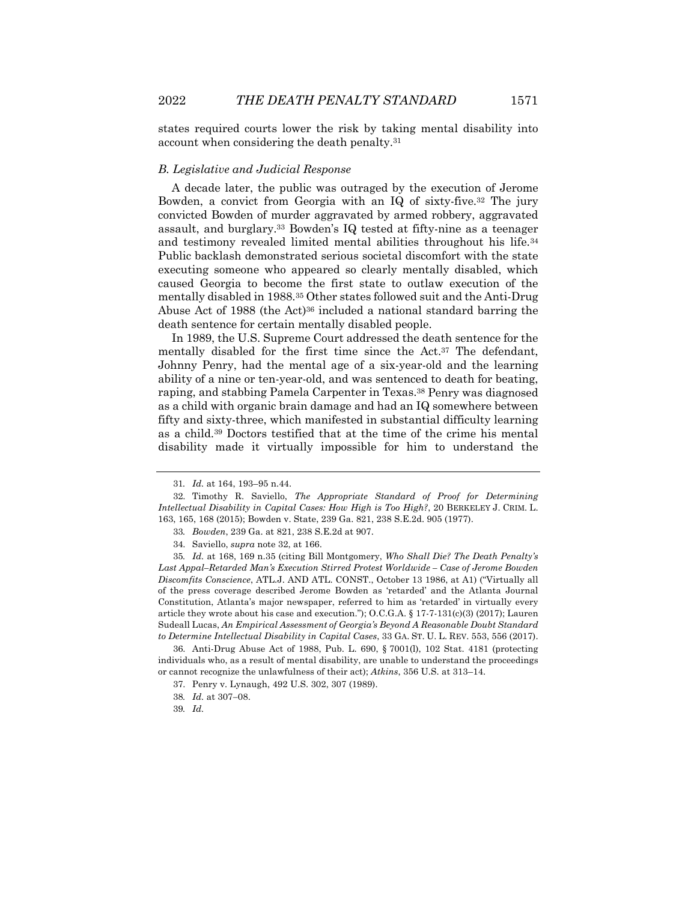states required courts lower the risk by taking mental disability into account when considering the death penalty.31

# *B. Legislative and Judicial Response*

A decade later, the public was outraged by the execution of Jerome Bowden, a convict from Georgia with an IQ of sixty-five.32 The jury convicted Bowden of murder aggravated by armed robbery, aggravated assault, and burglary.33 Bowden's IQ tested at fifty-nine as a teenager and testimony revealed limited mental abilities throughout his life.34 Public backlash demonstrated serious societal discomfort with the state executing someone who appeared so clearly mentally disabled, which caused Georgia to become the first state to outlaw execution of the mentally disabled in 1988.35 Other states followed suit and the Anti-Drug Abuse Act of 1988 (the Act)36 included a national standard barring the death sentence for certain mentally disabled people.

In 1989, the U.S. Supreme Court addressed the death sentence for the mentally disabled for the first time since the Act.37 The defendant, Johnny Penry, had the mental age of a six-year-old and the learning ability of a nine or ten-year-old, and was sentenced to death for beating, raping, and stabbing Pamela Carpenter in Texas.38 Penry was diagnosed as a child with organic brain damage and had an IQ somewhere between fifty and sixty-three, which manifested in substantial difficulty learning as a child.39 Doctors testified that at the time of the crime his mental disability made it virtually impossible for him to understand the

36. Anti-Drug Abuse Act of 1988, Pub. L. 690, § 7001(l), 102 Stat. 4181 (protecting individuals who, as a result of mental disability, are unable to understand the proceedings or cannot recognize the unlawfulness of their act); *Atkins*, 356 U.S. at 313–14.

<sup>31</sup>*. Id.* at 164, 193–95 n.44.

<sup>32.</sup> Timothy R. Saviello, *The Appropriate Standard of Proof for Determining Intellectual Disability in Capital Cases: How High is Too High?*, 20 BERKELEY J. CRIM. L. 163, 165, 168 (2015); Bowden v. State, 239 Ga. 821, 238 S.E.2d. 905 (1977).

<sup>33</sup>*. Bowden*, 239 Ga. at 821, 238 S.E.2d at 907.

<sup>34.</sup> Saviello, *supra* note 32, at 166.

<sup>35</sup>*. Id.* at 168, 169 n.35 (citing Bill Montgomery, *Who Shall Die? The Death Penalty's Last Appal–Retarded Man's Execution Stirred Protest Worldwide – Case of Jerome Bowden Discomfits Conscience*, ATL.J. AND ATL. CONST., October 13 1986, at A1) ("Virtually all of the press coverage described Jerome Bowden as 'retarded' and the Atlanta Journal Constitution, Atlanta's major newspaper, referred to him as 'retarded' in virtually every article they wrote about his case and execution."); O.C.G.A. § 17-7-131(c)(3) (2017); Lauren Sudeall Lucas, *An Empirical Assessment of Georgia's Beyond A Reasonable Doubt Standard to Determine Intellectual Disability in Capital Cases*, 33 GA. ST. U. L. REV. 553, 556 (2017).

<sup>37.</sup> Penry v. Lynaugh, 492 U.S. 302, 307 (1989).

<sup>38</sup>*. Id.* at 307-08.

<sup>39</sup>*. Id.*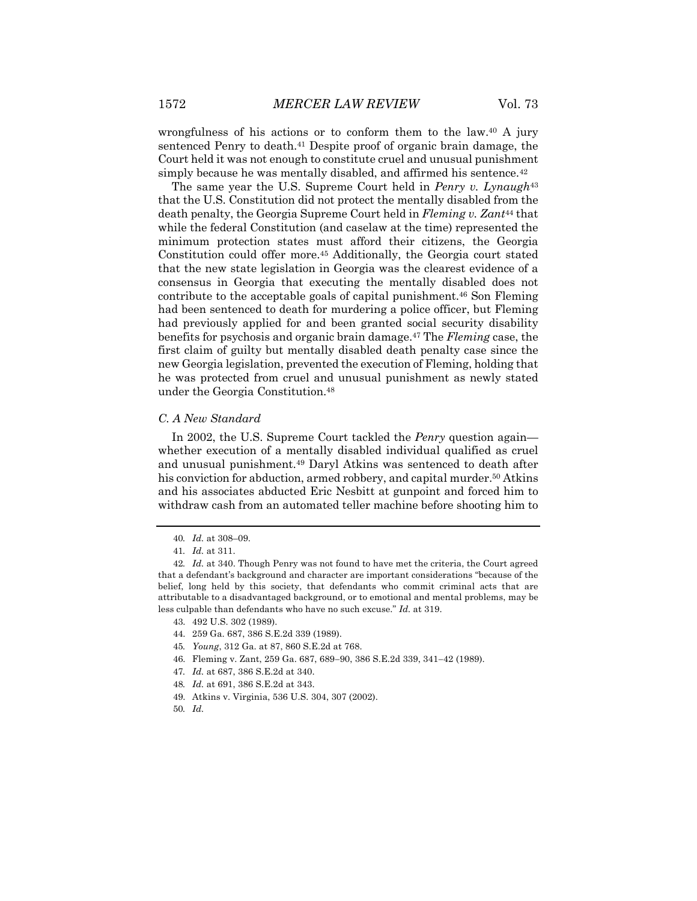wrongfulness of his actions or to conform them to the law.40 A jury sentenced Penry to death.<sup>41</sup> Despite proof of organic brain damage, the Court held it was not enough to constitute cruel and unusual punishment simply because he was mentally disabled, and affirmed his sentence.<sup>42</sup>

The same year the U.S. Supreme Court held in *Penry v. Lynaugh*<sup>43</sup> that the U.S. Constitution did not protect the mentally disabled from the death penalty, the Georgia Supreme Court held in *Fleming v. Zant*<sup>44</sup> that while the federal Constitution (and caselaw at the time) represented the minimum protection states must afford their citizens, the Georgia Constitution could offer more.45 Additionally, the Georgia court stated that the new state legislation in Georgia was the clearest evidence of a consensus in Georgia that executing the mentally disabled does not contribute to the acceptable goals of capital punishment.46 Son Fleming had been sentenced to death for murdering a police officer, but Fleming had previously applied for and been granted social security disability benefits for psychosis and organic brain damage.47 The *Fleming* case, the first claim of guilty but mentally disabled death penalty case since the new Georgia legislation, prevented the execution of Fleming, holding that he was protected from cruel and unusual punishment as newly stated under the Georgia Constitution.48

# *C. A New Standard*

In 2002, the U.S. Supreme Court tackled the *Penry* question again whether execution of a mentally disabled individual qualified as cruel and unusual punishment.49 Daryl Atkins was sentenced to death after his conviction for abduction, armed robbery, and capital murder.<sup>50</sup> Atkins and his associates abducted Eric Nesbitt at gunpoint and forced him to withdraw cash from an automated teller machine before shooting him to

- 46. Fleming v. Zant, 259 Ga. 687, 689-90, 386 S.E.2d 339, 341-42 (1989).
- 47*. Id.* at 687, 386 S.E.2d at 340.
- 48*. Id.* at 691, 386 S.E.2d at 343.
- 49. Atkins v. Virginia, 536 U.S. 304, 307 (2002).
- 50*. Id.*

<sup>40</sup>*. Id.* at 308–09.

<sup>41</sup>*. Id.* at 311.

<sup>42</sup>*. Id.* at 340. Though Penry was not found to have met the criteria, the Court agreed that a defendant's background and character are important considerations "because of the belief, long held by this society, that defendants who commit criminal acts that are attributable to a disadvantaged background, or to emotional and mental problems, may be less culpable than defendants who have no such excuse." *Id.* at 319.

<sup>43.</sup> 492 U.S. 302 (1989).

<sup>44.</sup> 259 Ga. 687, 386 S.E.2d 339 (1989).

<sup>45</sup>*. Young*, 312 Ga. at 87, 860 S.E.2d at 768.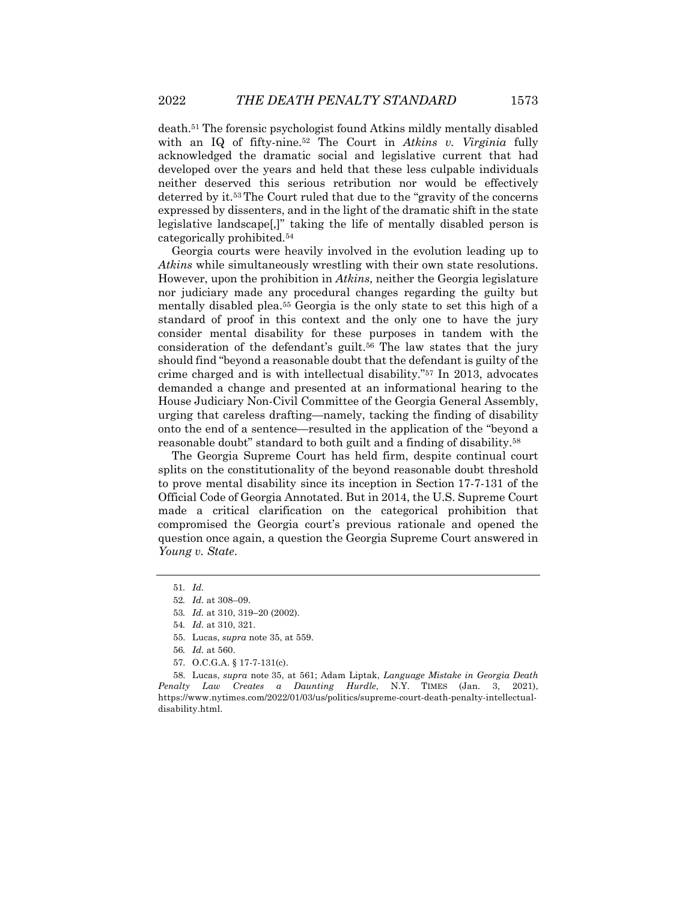death.51 The forensic psychologist found Atkins mildly mentally disabled with an IQ of fifty-nine.52 The Court in *Atkins v. Virginia* fully acknowledged the dramatic social and legislative current that had developed over the years and held that these less culpable individuals neither deserved this serious retribution nor would be effectively deterred by it.53 The Court ruled that due to the "gravity of the concerns expressed by dissenters, and in the light of the dramatic shift in the state legislative landscape[,]" taking the life of mentally disabled person is categorically prohibited.54

Georgia courts were heavily involved in the evolution leading up to *Atkins* while simultaneously wrestling with their own state resolutions. However, upon the prohibition in *Atkins*, neither the Georgia legislature nor judiciary made any procedural changes regarding the guilty but mentally disabled plea.55 Georgia is the only state to set this high of a standard of proof in this context and the only one to have the jury consider mental disability for these purposes in tandem with the consideration of the defendant's guilt.<sup>56</sup> The law states that the jury should find "beyond a reasonable doubt that the defendant is guilty of the crime charged and is with intellectual disability."57 In 2013, advocates demanded a change and presented at an informational hearing to the House Judiciary Non-Civil Committee of the Georgia General Assembly, urging that careless drafting—namely, tacking the finding of disability onto the end of a sentence—resulted in the application of the "beyond a reasonable doubt" standard to both guilt and a finding of disability.58

The Georgia Supreme Court has held firm, despite continual court splits on the constitutionality of the beyond reasonable doubt threshold to prove mental disability since its inception in Section 17-7-131 of the Official Code of Georgia Annotated. But in 2014, the U.S. Supreme Court made a critical clarification on the categorical prohibition that compromised the Georgia court's previous rationale and opened the question once again, a question the Georgia Supreme Court answered in *Young v. State*.

55. Lucas, *supra* note 35, at 559.

<sup>51</sup>*. Id.*

<sup>52</sup>*. Id.* at 308–09.

<sup>53</sup>*. Id.* at 310, 319–20 (2002).

<sup>54</sup>*. Id.* at 310, 321.

<sup>56</sup>*. Id.* at 560.

<sup>57.</sup> O.C.G.A. § 17-7-131(c).

<sup>58.</sup> Lucas, *supra* note 35, at 561; Adam Liptak, *Language Mistake in Georgia Death Penalty Law Creates a Daunting Hurdle*, N.Y. TIMES (Jan. 3, 2021), https://www.nytimes.com/2022/01/03/us/politics/supreme-court-death-penalty-intellectualdisability.html.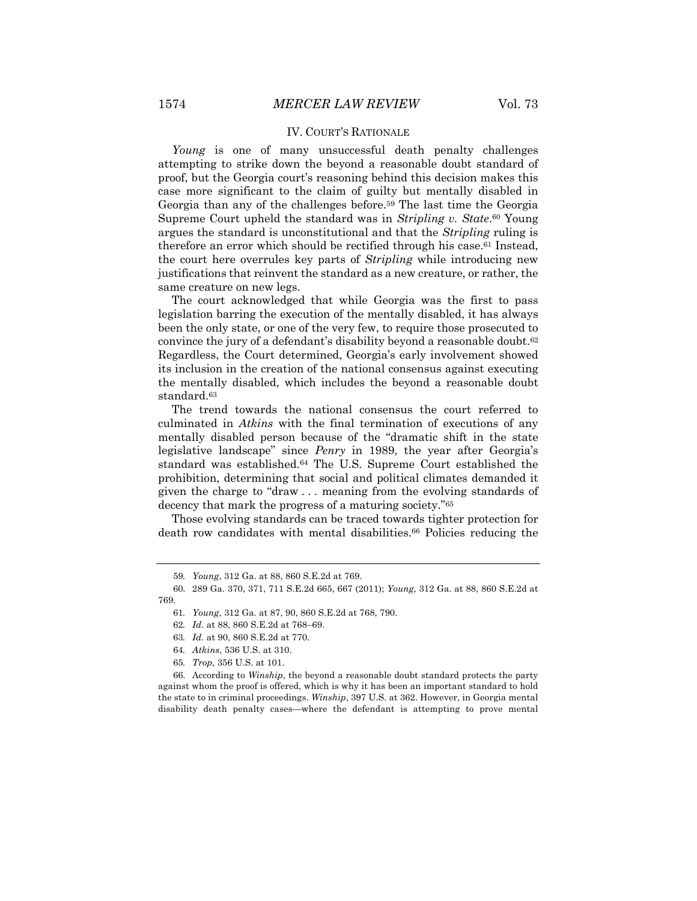#### IV. COURT'S RATIONALE

*Young* is one of many unsuccessful death penalty challenges attempting to strike down the beyond a reasonable doubt standard of proof, but the Georgia court's reasoning behind this decision makes this case more significant to the claim of guilty but mentally disabled in Georgia than any of the challenges before.59 The last time the Georgia Supreme Court upheld the standard was in *Stripling v. State*.60 Young argues the standard is unconstitutional and that the *Stripling* ruling is therefore an error which should be rectified through his case.<sup>61</sup> Instead, the court here overrules key parts of *Stripling* while introducing new justifications that reinvent the standard as a new creature, or rather, the same creature on new legs.

The court acknowledged that while Georgia was the first to pass legislation barring the execution of the mentally disabled, it has always been the only state, or one of the very few, to require those prosecuted to convince the jury of a defendant's disability beyond a reasonable doubt.<sup>62</sup> Regardless, the Court determined, Georgia's early involvement showed its inclusion in the creation of the national consensus against executing the mentally disabled, which includes the beyond a reasonable doubt standard.63

The trend towards the national consensus the court referred to culminated in *Atkins* with the final termination of executions of any mentally disabled person because of the "dramatic shift in the state legislative landscape" since *Penry* in 1989, the year after Georgia's standard was established.64 The U.S. Supreme Court established the prohibition, determining that social and political climates demanded it given the charge to "draw . . . meaning from the evolving standards of decency that mark the progress of a maturing society."65

Those evolving standards can be traced towards tighter protection for death row candidates with mental disabilities.<sup>66</sup> Policies reducing the

<sup>59</sup>*. Young*, 312 Ga. at 88, 860 S.E.2d at 769.

<sup>60.</sup> 289 Ga. 370, 371, 711 S.E.2d 665, 667 (2011); *Young*, 312 Ga. at 88, 860 S.E.2d at 769.

<sup>61</sup>*. Young*, 312 Ga. at 87, 90, 860 S.E.2d at 768, 790.

<sup>62</sup>*. Id*. at 88, 860 S.E.2d at 768-69.

<sup>63</sup>*. Id.* at 90, 860 S.E.2d at 770.

<sup>64</sup>*. Atkins*, 536 U.S. at 310.

<sup>65</sup>*. Trop*, 356 U.S. at 101.

<sup>66.</sup> According to *Winship*, the beyond a reasonable doubt standard protects the party against whom the proof is offered, which is why it has been an important standard to hold the state to in criminal proceedings. *Winship*, 397 U.S. at 362. However, in Georgia mental disability death penalty cases—where the defendant is attempting to prove mental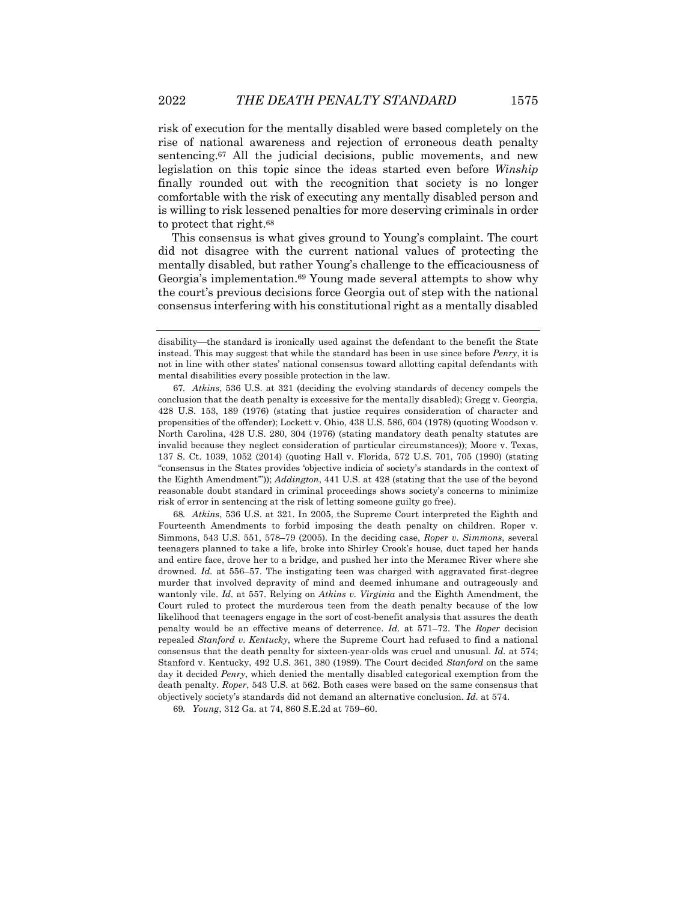risk of execution for the mentally disabled were based completely on the rise of national awareness and rejection of erroneous death penalty sentencing.<sup>67</sup> All the judicial decisions, public movements, and new legislation on this topic since the ideas started even before *Winship* finally rounded out with the recognition that society is no longer comfortable with the risk of executing any mentally disabled person and is willing to risk lessened penalties for more deserving criminals in order to protect that right.68

This consensus is what gives ground to Young's complaint. The court did not disagree with the current national values of protecting the mentally disabled, but rather Young's challenge to the efficaciousness of Georgia's implementation.69 Young made several attempts to show why the court's previous decisions force Georgia out of step with the national consensus interfering with his constitutional right as a mentally disabled

68*. Atkins*, 536 U.S. at 321. In 2005, the Supreme Court interpreted the Eighth and Fourteenth Amendments to forbid imposing the death penalty on children. Roper v. Simmons, 543 U.S. 551, 578–79 (2005). In the deciding case, *Roper v. Simmons*, several teenagers planned to take a life, broke into Shirley Crook's house, duct taped her hands and entire face, drove her to a bridge, and pushed her into the Meramec River where she drowned. *Id.* at 556–57. The instigating teen was charged with aggravated first-degree murder that involved depravity of mind and deemed inhumane and outrageously and wantonly vile. *Id.* at 557. Relying on *Atkins v. Virginia* and the Eighth Amendment, the Court ruled to protect the murderous teen from the death penalty because of the low likelihood that teenagers engage in the sort of cost-benefit analysis that assures the death penalty would be an effective means of deterrence. *Id.* at 571–72. The *Roper* decision repealed *Stanford v. Kentucky*, where the Supreme Court had refused to find a national consensus that the death penalty for sixteen-year-olds was cruel and unusual. *Id.* at 574; Stanford v. Kentucky, 492 U.S. 361, 380 (1989). The Court decided *Stanford* on the same day it decided *Penry*, which denied the mentally disabled categorical exemption from the death penalty. *Roper*, 543 U.S. at 562. Both cases were based on the same consensus that objectively society's standards did not demand an alternative conclusion. *Id.* at 574.

69*. Young*, 312 Ga. at 74, 860 S.E.2d at 759–60.

disability—the standard is ironically used against the defendant to the benefit the State instead. This may suggest that while the standard has been in use since before *Penry*, it is not in line with other states' national consensus toward allotting capital defendants with mental disabilities every possible protection in the law.

<sup>67</sup>*. Atkins*, 536 U.S. at 321 (deciding the evolving standards of decency compels the conclusion that the death penalty is excessive for the mentally disabled); Gregg v. Georgia, 428 U.S. 153, 189 (1976) (stating that justice requires consideration of character and propensities of the offender); Lockett v. Ohio, 438 U.S. 586, 604 (1978) (quoting Woodson v. North Carolina, 428 U.S. 280, 304 (1976) (stating mandatory death penalty statutes are invalid because they neglect consideration of particular circumstances)); Moore v. Texas, 137 S. Ct. 1039, 1052 (2014) (quoting Hall v. Florida, 572 U.S. 701, 705 (1990) (stating "consensus in the States provides 'objective indicia of society's standards in the context of the Eighth Amendment'")); *Addington*, 441 U.S. at 428 (stating that the use of the beyond reasonable doubt standard in criminal proceedings shows society's concerns to minimize risk of error in sentencing at the risk of letting someone guilty go free).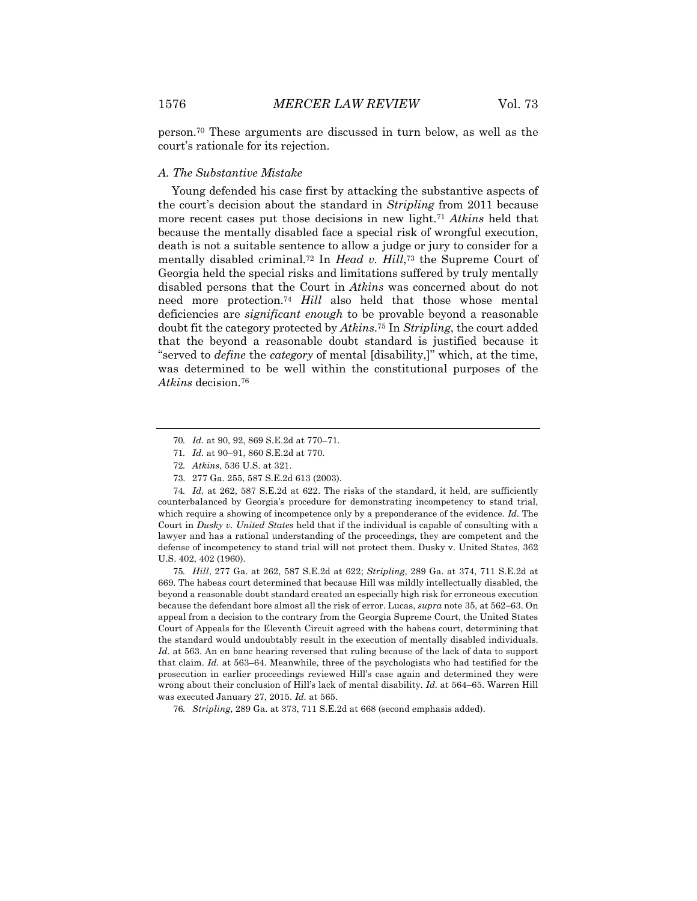person.70 These arguments are discussed in turn below, as well as the court's rationale for its rejection.

#### *A. The Substantive Mistake*

Young defended his case first by attacking the substantive aspects of the court's decision about the standard in *Stripling* from 2011 because more recent cases put those decisions in new light.71 *Atkins* held that because the mentally disabled face a special risk of wrongful execution, death is not a suitable sentence to allow a judge or jury to consider for a mentally disabled criminal.72 In *Head v. Hill*,73 the Supreme Court of Georgia held the special risks and limitations suffered by truly mentally disabled persons that the Court in *Atkins* was concerned about do not need more protection.74 *Hill* also held that those whose mental deficiencies are *significant enough* to be provable beyond a reasonable doubt fit the category protected by *Atkins*.75 In *Stripling*, the court added that the beyond a reasonable doubt standard is justified because it "served to *define* the *category* of mental [disability,]" which, at the time, was determined to be well within the constitutional purposes of the *Atkins* decision.76

74*. Id.* at 262, 587 S.E.2d at 622. The risks of the standard, it held, are sufficiently counterbalanced by Georgia's procedure for demonstrating incompetency to stand trial, which require a showing of incompetence only by a preponderance of the evidence. *Id.* The Court in *Dusky v. United States* held that if the individual is capable of consulting with a lawyer and has a rational understanding of the proceedings, they are competent and the defense of incompetency to stand trial will not protect them. Dusky v. United States, 362 U.S. 402, 402 (1960).

75*. Hill*, 277 Ga. at 262, 587 S.E.2d at 622; *Stripling*, 289 Ga. at 374, 711 S.E.2d at 669. The habeas court determined that because Hill was mildly intellectually disabled, the beyond a reasonable doubt standard created an especially high risk for erroneous execution because the defendant bore almost all the risk of error. Lucas, *supra* note 35, at 562-63. On appeal from a decision to the contrary from the Georgia Supreme Court, the United States Court of Appeals for the Eleventh Circuit agreed with the habeas court, determining that the standard would undoubtably result in the execution of mentally disabled individuals. *Id.* at 563. An en banc hearing reversed that ruling because of the lack of data to support that claim. *Id.* at 563–64. Meanwhile, three of the psychologists who had testified for the prosecution in earlier proceedings reviewed Hill's case again and determined they were wrong about their conclusion of Hill's lack of mental disability. *Id.* at 564–65. Warren Hill was executed January 27, 2015. *Id.* at 565.

76*. Stripling*, 289 Ga. at 373, 711 S.E.2d at 668 (second emphasis added).

<sup>70</sup>*. Id*. at 90, 92, 869 S.E.2d at 770–71.

<sup>71</sup>*. Id.* at 90–91, 860 S.E.2d at 770.

<sup>72</sup>*. Atkins*, 536 U.S. at 321.

<sup>73.</sup> 277 Ga. 255, 587 S.E.2d 613 (2003).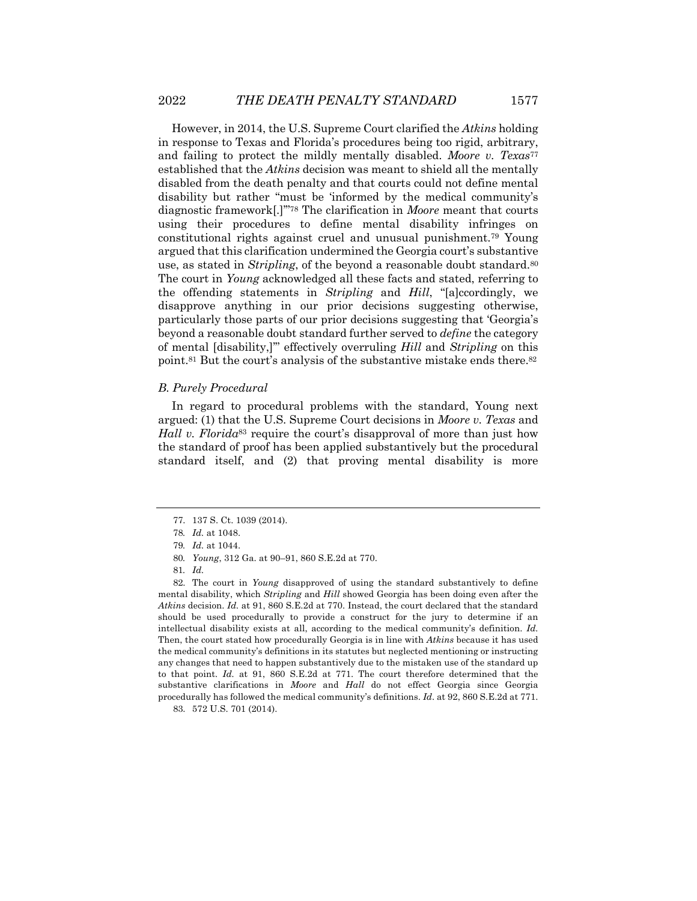However, in 2014, the U.S. Supreme Court clarified the *Atkins* holding in response to Texas and Florida's procedures being too rigid, arbitrary, and failing to protect the mildly mentally disabled. *Moore v. Texas*<sup>77</sup> established that the *Atkins* decision was meant to shield all the mentally disabled from the death penalty and that courts could not define mental disability but rather "must be 'informed by the medical community's diagnostic framework[.]'"78 The clarification in *Moore* meant that courts using their procedures to define mental disability infringes on constitutional rights against cruel and unusual punishment.79 Young argued that this clarification undermined the Georgia court's substantive use, as stated in *Stripling*, of the beyond a reasonable doubt standard.80 The court in *Young* acknowledged all these facts and stated, referring to the offending statements in *Stripling* and *Hill*, "[a]ccordingly, we disapprove anything in our prior decisions suggesting otherwise, particularly those parts of our prior decisions suggesting that 'Georgia's beyond a reasonable doubt standard further served to *define* the category of mental [disability,]'" effectively overruling *Hill* and *Stripling* on this point.81 But the court's analysis of the substantive mistake ends there.82

### *B. Purely Procedural*

In regard to procedural problems with the standard, Young next argued: (1) that the U.S. Supreme Court decisions in *Moore v. Texas* and *Hall v. Florida*<sup>83</sup> require the court's disapproval of more than just how the standard of proof has been applied substantively but the procedural standard itself, and (2) that proving mental disability is more

<sup>77.</sup> 137 S. Ct. 1039 (2014).

<sup>78</sup>*. Id.* at 1048.

<sup>79</sup>*. Id.* at 1044.

<sup>80</sup>*. Young*, 312 Ga. at 90–91, 860 S.E.2d at 770.

<sup>81</sup>*. Id.*

<sup>82.</sup> The court in *Young* disapproved of using the standard substantively to define mental disability, which *Stripling* and *Hill* showed Georgia has been doing even after the *Atkins* decision. *Id.* at 91, 860 S.E.2d at 770. Instead, the court declared that the standard should be used procedurally to provide a construct for the jury to determine if an intellectual disability exists at all, according to the medical community's definition. *Id.* Then, the court stated how procedurally Georgia is in line with *Atkins* because it has used the medical community's definitions in its statutes but neglected mentioning or instructing any changes that need to happen substantively due to the mistaken use of the standard up to that point. *Id.* at 91, 860 S.E.2d at 771. The court therefore determined that the substantive clarifications in *Moore* and *Hall* do not effect Georgia since Georgia procedurally has followed the medical community's definitions. *Id*. at 92, 860 S.E.2d at 771.

<sup>83.</sup> 572 U.S. 701 (2014).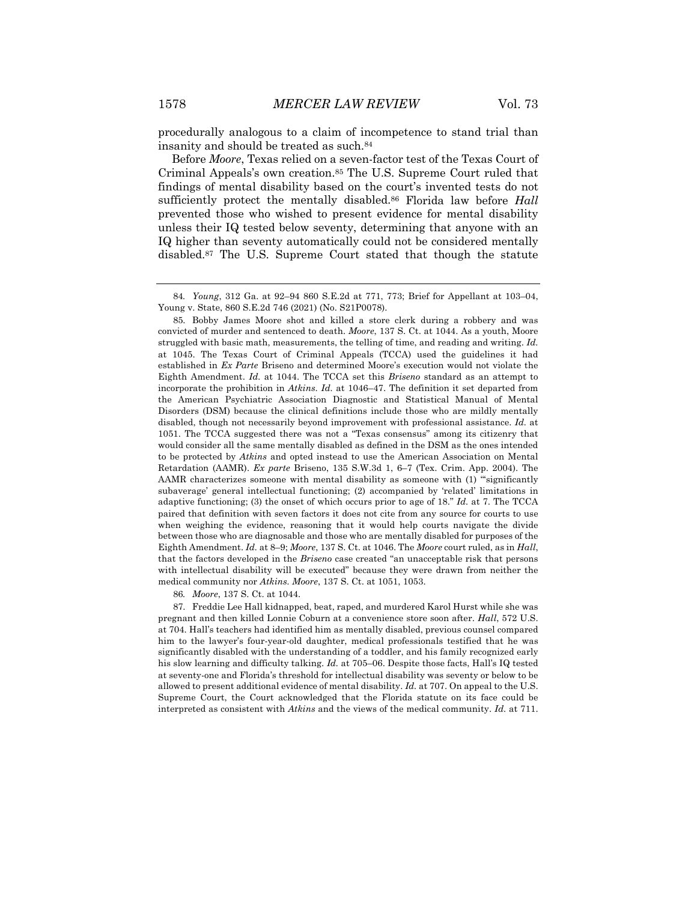procedurally analogous to a claim of incompetence to stand trial than insanity and should be treated as such.84

Before *Moore*, Texas relied on a seven-factor test of the Texas Court of Criminal Appeals's own creation.85 The U.S. Supreme Court ruled that findings of mental disability based on the court's invented tests do not sufficiently protect the mentally disabled.86 Florida law before *Hall*  prevented those who wished to present evidence for mental disability unless their IQ tested below seventy, determining that anyone with an IQ higher than seventy automatically could not be considered mentally disabled.87 The U.S. Supreme Court stated that though the statute

86*. Moore*, 137 S. Ct. at 1044.

87. Freddie Lee Hall kidnapped, beat, raped, and murdered Karol Hurst while she was pregnant and then killed Lonnie Coburn at a convenience store soon after. *Hall*, 572 U.S. at 704. Hall's teachers had identified him as mentally disabled, previous counsel compared him to the lawyer's four-year-old daughter, medical professionals testified that he was significantly disabled with the understanding of a toddler, and his family recognized early his slow learning and difficulty talking. *Id.* at 705–06. Despite those facts, Hall's IQ tested at seventy-one and Florida's threshold for intellectual disability was seventy or below to be allowed to present additional evidence of mental disability. *Id.* at 707. On appeal to the U.S. Supreme Court, the Court acknowledged that the Florida statute on its face could be interpreted as consistent with *Atkins* and the views of the medical community. *Id.* at 711.

<sup>84</sup>*. Young*, 312 Ga. at 92–94 860 S.E.2d at 771, 773; Brief for Appellant at 103–04, Young v. State, 860 S.E.2d 746 (2021) (No. S21P0078).

<sup>85.</sup> Bobby James Moore shot and killed a store clerk during a robbery and was convicted of murder and sentenced to death. *Moore*, 137 S. Ct. at 1044. As a youth, Moore struggled with basic math, measurements, the telling of time, and reading and writing. *Id.*  at 1045. The Texas Court of Criminal Appeals (TCCA) used the guidelines it had established in *Ex Parte* Briseno and determined Moore's execution would not violate the Eighth Amendment. *Id.* at 1044. The TCCA set this *Briseno* standard as an attempt to incorporate the prohibition in *Atkins*. *Id.* at 1046–47. The definition it set departed from the American Psychiatric Association Diagnostic and Statistical Manual of Mental Disorders (DSM) because the clinical definitions include those who are mildly mentally disabled, though not necessarily beyond improvement with professional assistance. *Id.* at 1051. The TCCA suggested there was not a "Texas consensus" among its citizenry that would consider all the same mentally disabled as defined in the DSM as the ones intended to be protected by *Atkins* and opted instead to use the American Association on Mental Retardation (AAMR). *Ex parte* Briseno, 135 S.W.3d 1, 6–7 (Tex. Crim. App. 2004). The AAMR characterizes someone with mental disability as someone with (1) "'significantly subaverage' general intellectual functioning; (2) accompanied by 'related' limitations in adaptive functioning; (3) the onset of which occurs prior to age of 18." *Id.* at 7. The TCCA paired that definition with seven factors it does not cite from any source for courts to use when weighing the evidence, reasoning that it would help courts navigate the divide between those who are diagnosable and those who are mentally disabled for purposes of the Eighth Amendment. *Id.* at 8–9; *Moore*, 137 S. Ct. at 1046. The *Moore* court ruled, as in *Hall*, that the factors developed in the *Briseno* case created "an unacceptable risk that persons with intellectual disability will be executed" because they were drawn from neither the medical community nor *Atkins. Moore*, 137 S. Ct. at 1051, 1053.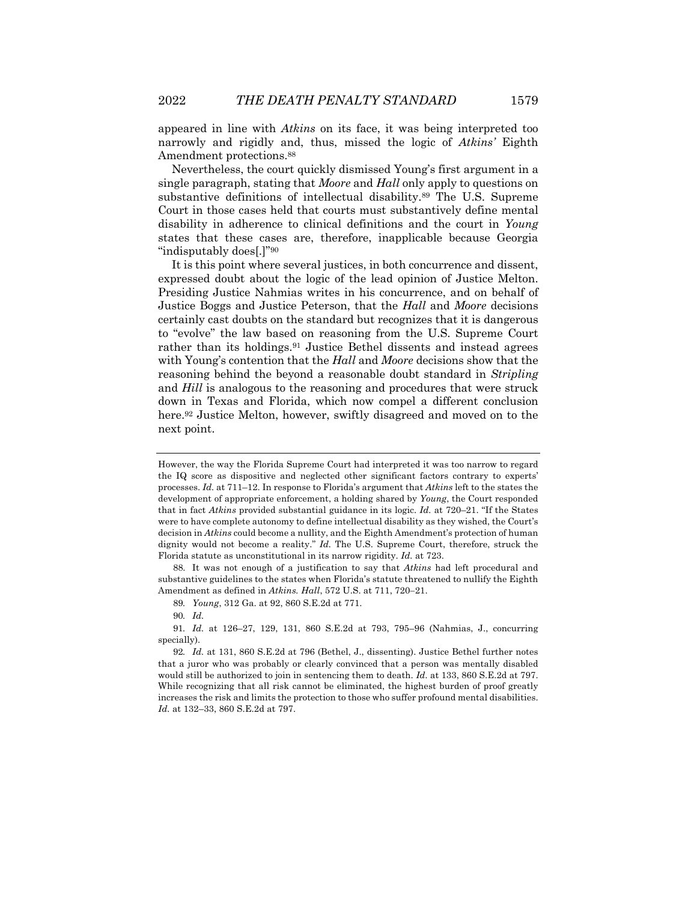appeared in line with *Atkins* on its face, it was being interpreted too narrowly and rigidly and, thus, missed the logic of *Atkins'* Eighth Amendment protections.88

Nevertheless, the court quickly dismissed Young's first argument in a single paragraph, stating that *Moore* and *Hall* only apply to questions on substantive definitions of intellectual disability.89 The U.S. Supreme Court in those cases held that courts must substantively define mental disability in adherence to clinical definitions and the court in *Young* states that these cases are, therefore, inapplicable because Georgia "indisputably does[.]"90

It is this point where several justices, in both concurrence and dissent, expressed doubt about the logic of the lead opinion of Justice Melton. Presiding Justice Nahmias writes in his concurrence, and on behalf of Justice Boggs and Justice Peterson, that the *Hall* and *Moore* decisions certainly cast doubts on the standard but recognizes that it is dangerous to "evolve" the law based on reasoning from the U.S. Supreme Court rather than its holdings.91 Justice Bethel dissents and instead agrees with Young's contention that the *Hall* and *Moore* decisions show that the reasoning behind the beyond a reasonable doubt standard in *Stripling* and *Hill* is analogous to the reasoning and procedures that were struck down in Texas and Florida, which now compel a different conclusion here.<sup>92</sup> Justice Melton, however, swiftly disagreed and moved on to the next point.

However, the way the Florida Supreme Court had interpreted it was too narrow to regard the IQ score as dispositive and neglected other significant factors contrary to experts' processes. *Id.* at 711–12. In response to Florida's argument that *Atkins* left to the states the development of appropriate enforcement, a holding shared by *Young*, the Court responded that in fact *Atkins* provided substantial guidance in its logic. *Id.* at 720–21. "If the States were to have complete autonomy to define intellectual disability as they wished, the Court's decision in *Atkins* could become a nullity, and the Eighth Amendment's protection of human dignity would not become a reality." *Id.* The U.S. Supreme Court, therefore, struck the Florida statute as unconstitutional in its narrow rigidity. *Id.* at 723.

<sup>88.</sup> It was not enough of a justification to say that *Atkins* had left procedural and substantive guidelines to the states when Florida's statute threatened to nullify the Eighth Amendment as defined in *Atkins. Hall*, 572 U.S. at 711, 720-21.

<sup>89</sup>*. Young*, 312 Ga. at 92, 860 S.E.2d at 771.

<sup>90</sup>*. Id.*

<sup>91</sup>*. Id.* at 126–27, 129, 131, 860 S.E.2d at 793, 795–96 (Nahmias, J., concurring specially).

<sup>92</sup>*. Id.* at 131, 860 S.E.2d at 796 (Bethel, J., dissenting). Justice Bethel further notes that a juror who was probably or clearly convinced that a person was mentally disabled would still be authorized to join in sentencing them to death. *Id.* at 133, 860 S.E.2d at 797. While recognizing that all risk cannot be eliminated, the highest burden of proof greatly increases the risk and limits the protection to those who suffer profound mental disabilities. *Id.* at 132–33, 860 S.E.2d at 797.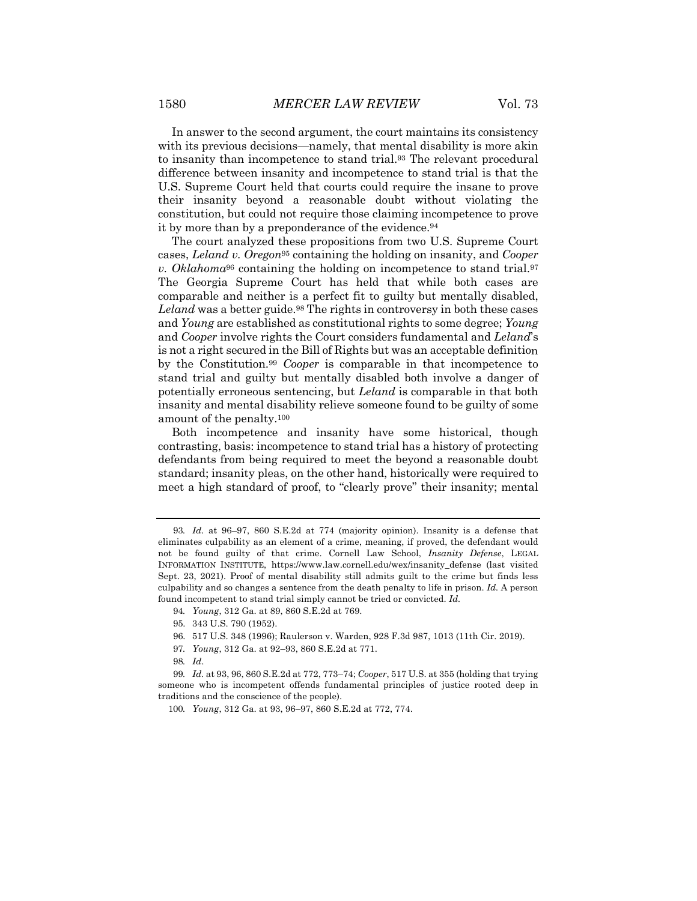In answer to the second argument, the court maintains its consistency with its previous decisions—namely, that mental disability is more akin to insanity than incompetence to stand trial.93 The relevant procedural difference between insanity and incompetence to stand trial is that the U.S. Supreme Court held that courts could require the insane to prove their insanity beyond a reasonable doubt without violating the constitution, but could not require those claiming incompetence to prove it by more than by a preponderance of the evidence.<sup>94</sup>

The court analyzed these propositions from two U.S. Supreme Court cases, *Leland v. Oregon*<sup>95</sup> containing the holding on insanity, and *Cooper v. Oklahoma*<sup>96</sup> containing the holding on incompetence to stand trial.97 The Georgia Supreme Court has held that while both cases are comparable and neither is a perfect fit to guilty but mentally disabled, Leland was a better guide.<sup>98</sup> The rights in controversy in both these cases and *Young* are established as constitutional rights to some degree; *Young* and *Cooper* involve rights the Court considers fundamental and *Leland*'s is not a right secured in the Bill of Rights but was an acceptable definition by the Constitution.99 *Cooper* is comparable in that incompetence to stand trial and guilty but mentally disabled both involve a danger of potentially erroneous sentencing, but *Leland* is comparable in that both insanity and mental disability relieve someone found to be guilty of some amount of the penalty.100

Both incompetence and insanity have some historical, though contrasting, basis: incompetence to stand trial has a history of protecting defendants from being required to meet the beyond a reasonable doubt standard; insanity pleas, on the other hand, historically were required to meet a high standard of proof, to "clearly prove" their insanity; mental

<sup>93</sup>*. Id.* at 96–97, 860 S.E.2d at 774 (majority opinion). Insanity is a defense that eliminates culpability as an element of a crime, meaning, if proved, the defendant would not be found guilty of that crime. Cornell Law School, *Insanity Defense*, LEGAL INFORMATION INSTITUTE, https://www.law.cornell.edu/wex/insanity\_defense (last visited Sept. 23, 2021). Proof of mental disability still admits guilt to the crime but finds less culpability and so changes a sentence from the death penalty to life in prison. *Id.* A person found incompetent to stand trial simply cannot be tried or convicted. *Id.*

<sup>94</sup>*. Young*, 312 Ga. at 89, 860 S.E.2d at 769.

<sup>95.</sup> 343 U.S. 790 (1952).

<sup>96.</sup> 517 U.S. 348 (1996); Raulerson v. Warden, 928 F.3d 987, 1013 (11th Cir. 2019).

<sup>97</sup>*. Young*, 312 Ga. at 92–93, 860 S.E.2d at 771.

<sup>98</sup>*. Id*.

<sup>99</sup>*. Id.* at 93, 96, 860 S.E.2d at 772, 773–74; *Cooper*, 517 U.S. at 355 (holding that trying someone who is incompetent offends fundamental principles of justice rooted deep in traditions and the conscience of the people).

<sup>100</sup>*. Young*, 312 Ga. at 93, 96–97, 860 S.E.2d at 772, 774.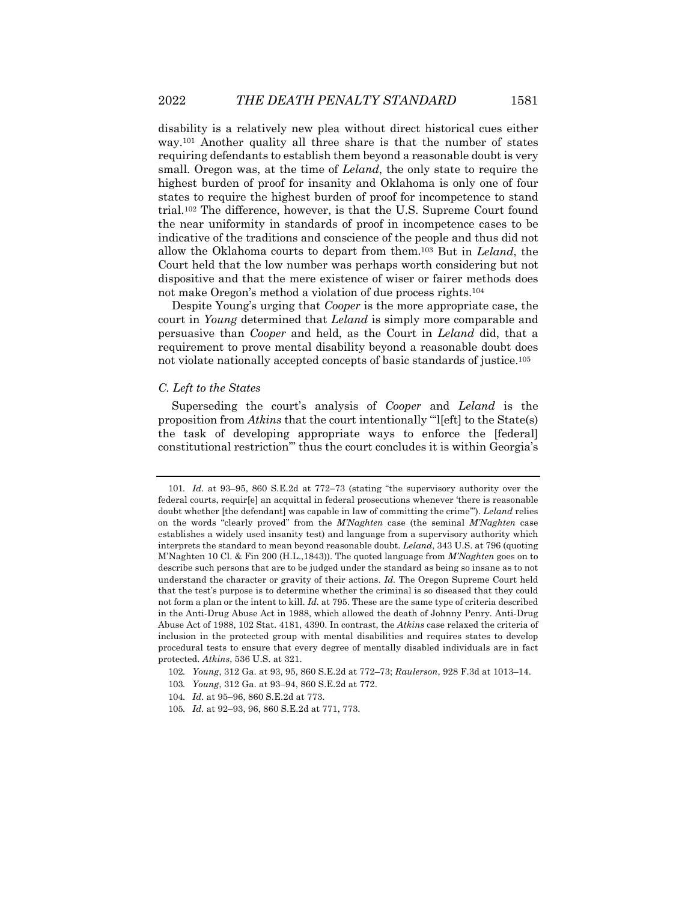disability is a relatively new plea without direct historical cues either way.101 Another quality all three share is that the number of states requiring defendants to establish them beyond a reasonable doubt is very small. Oregon was, at the time of *Leland*, the only state to require the highest burden of proof for insanity and Oklahoma is only one of four states to require the highest burden of proof for incompetence to stand trial.102 The difference, however, is that the U.S. Supreme Court found the near uniformity in standards of proof in incompetence cases to be indicative of the traditions and conscience of the people and thus did not allow the Oklahoma courts to depart from them.103 But in *Leland*, the Court held that the low number was perhaps worth considering but not dispositive and that the mere existence of wiser or fairer methods does not make Oregon's method a violation of due process rights.104

Despite Young's urging that *Cooper* is the more appropriate case, the court in *Young* determined that *Leland* is simply more comparable and persuasive than *Cooper* and held, as the Court in *Leland* did, that a requirement to prove mental disability beyond a reasonable doubt does not violate nationally accepted concepts of basic standards of justice.105

#### *C. Left to the States*

Superseding the court's analysis of *Cooper* and *Leland* is the proposition from *Atkins* that the court intentionally "'l[eft] to the State(s) the task of developing appropriate ways to enforce the [federal] constitutional restriction'" thus the court concludes it is within Georgia's

<sup>101</sup>*. Id.* at 93–95, 860 S.E.2d at 772-73 (stating "the supervisory authority over the federal courts, requir[e] an acquittal in federal prosecutions whenever 'there is reasonable doubt whether [the defendant] was capable in law of committing the crime'"). *Leland* relies on the words "clearly proved" from the *M'Naghten* case (the seminal *M'Naghten* case establishes a widely used insanity test) and language from a supervisory authority which interprets the standard to mean beyond reasonable doubt. *Leland*, 343 U.S. at 796 (quoting M'Naghten 10 Cl. & Fin 200 (H.L.,1843)). The quoted language from *M'Naghten* goes on to describe such persons that are to be judged under the standard as being so insane as to not understand the character or gravity of their actions. *Id.* The Oregon Supreme Court held that the test's purpose is to determine whether the criminal is so diseased that they could not form a plan or the intent to kill. *Id.* at 795. These are the same type of criteria described in the Anti-Drug Abuse Act in 1988, which allowed the death of Johnny Penry. Anti-Drug Abuse Act of 1988, 102 Stat. 4181, 4390. In contrast, the *Atkins* case relaxed the criteria of inclusion in the protected group with mental disabilities and requires states to develop procedural tests to ensure that every degree of mentally disabled individuals are in fact protected. *Atkins*, 536 U.S. at 321.

<sup>102</sup>*. Young*, 312 Ga. at 93, 95, 860 S.E.2d at 772–73; *Raulerson*, 928 F.3d at 1013–14.

<sup>103</sup>*. Young*, 312 Ga. at 93–94, 860 S.E.2d at 772.

<sup>104</sup>*. Id.* at 95–96, 860 S.E.2d at 773.

<sup>105</sup>*. Id.* at 92–93, 96, 860 S.E.2d at 771, 773.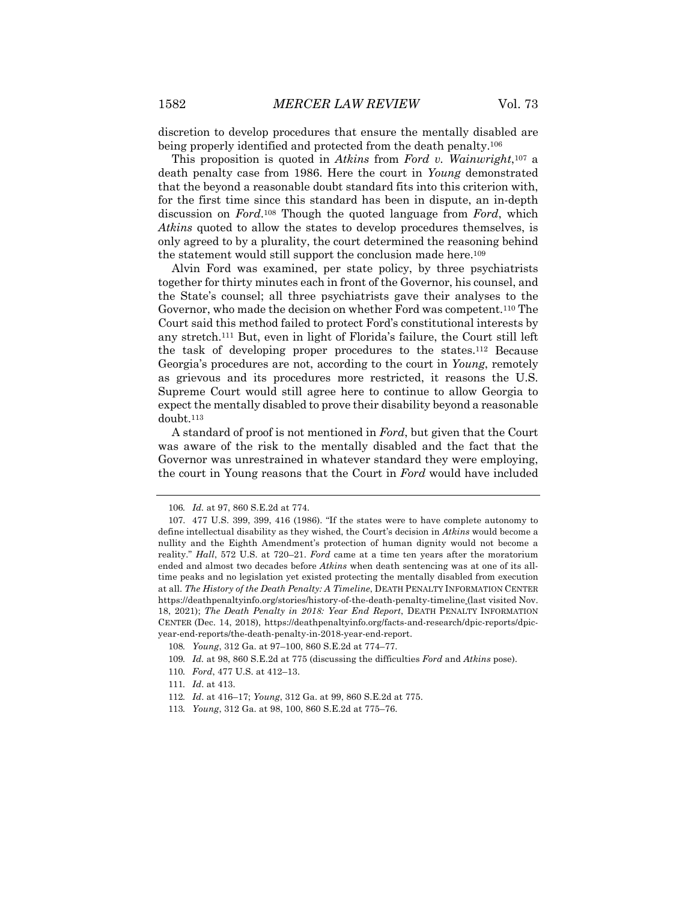discretion to develop procedures that ensure the mentally disabled are being properly identified and protected from the death penalty.106

This proposition is quoted in *Atkins* from *Ford v. Wainwright*,107 a death penalty case from 1986. Here the court in *Young* demonstrated that the beyond a reasonable doubt standard fits into this criterion with, for the first time since this standard has been in dispute, an in-depth discussion on *Ford*.108 Though the quoted language from *Ford*, which *Atkins* quoted to allow the states to develop procedures themselves, is only agreed to by a plurality, the court determined the reasoning behind the statement would still support the conclusion made here.<sup>109</sup>

Alvin Ford was examined, per state policy, by three psychiatrists together for thirty minutes each in front of the Governor, his counsel, and the State's counsel; all three psychiatrists gave their analyses to the Governor, who made the decision on whether Ford was competent.110 The Court said this method failed to protect Ford's constitutional interests by any stretch.111 But, even in light of Florida's failure, the Court still left the task of developing proper procedures to the states.112 Because Georgia's procedures are not, according to the court in *Young*, remotely as grievous and its procedures more restricted, it reasons the U.S. Supreme Court would still agree here to continue to allow Georgia to expect the mentally disabled to prove their disability beyond a reasonable doubt.113

A standard of proof is not mentioned in *Ford*, but given that the Court was aware of the risk to the mentally disabled and the fact that the Governor was unrestrained in whatever standard they were employing, the court in Young reasons that the Court in *Ford* would have included

<sup>106</sup>*. Id.* at 97, 860 S.E.2d at 774.

<sup>107.</sup> 477 U.S. 399, 399, 416 (1986). "If the states were to have complete autonomy to define intellectual disability as they wished, the Court's decision in *Atkins* would become a nullity and the Eighth Amendment's protection of human dignity would not become a reality." *Hall*, 572 U.S. at 720–21. *Ford* came at a time ten years after the moratorium ended and almost two decades before *Atkins* when death sentencing was at one of its alltime peaks and no legislation yet existed protecting the mentally disabled from execution at all. *The History of the Death Penalty: A Timeline*, DEATH PENALTY INFORMATION CENTER https://deathpenaltyinfo.org/stories/history-of-the-death-penalty-timeline (last visited Nov. 18, 2021); *The Death Penalty in 2018: Year End Report*, DEATH PENALTY INFORMATION CENTER (Dec. 14, 2018), https://deathpenaltyinfo.org/facts-and-research/dpic-reports/dpicyear-end-reports/the-death-penalty-in-2018-year-end-report.

<sup>108</sup>*. Young*, 312 Ga. at 97–100, 860 S.E.2d at 774–77.

<sup>109</sup>*. Id.* at 98, 860 S.E.2d at 775 (discussing the difficulties *Ford* and *Atkins* pose).

<sup>110</sup>*. Ford*, 477 U.S. at 412–13.

<sup>111</sup>*. Id*. at 413.

<sup>112</sup>*. Id*. at 416–17; *Young*, 312 Ga. at 99, 860 S.E.2d at 775.

<sup>113</sup>*. Young*, 312 Ga. at 98, 100, 860 S.E.2d at 775–76.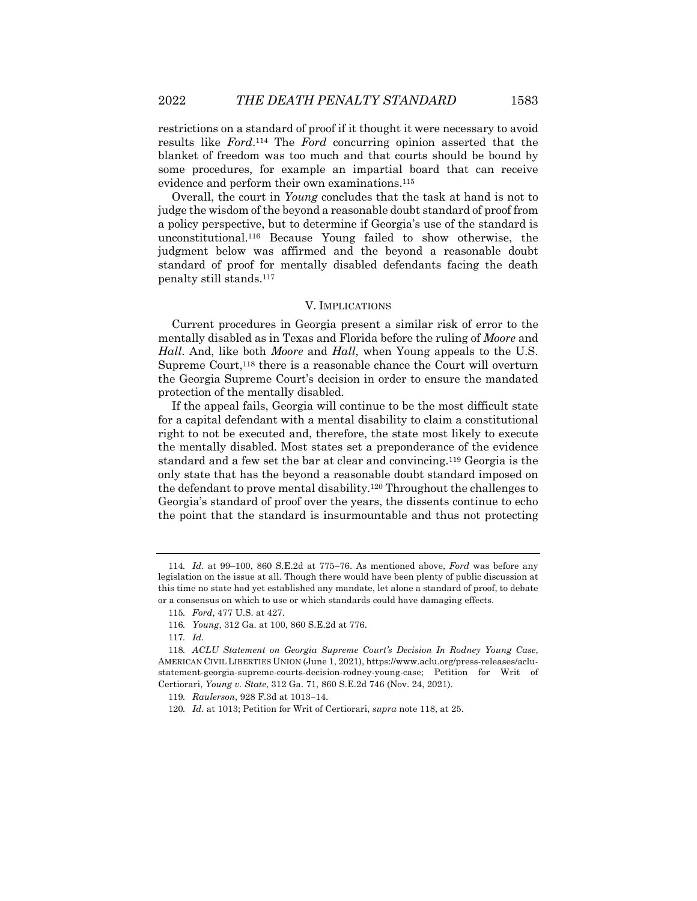restrictions on a standard of proof if it thought it were necessary to avoid results like *Ford*.114 The *Ford* concurring opinion asserted that the blanket of freedom was too much and that courts should be bound by some procedures, for example an impartial board that can receive evidence and perform their own examinations.115

Overall, the court in *Young* concludes that the task at hand is not to judge the wisdom of the beyond a reasonable doubt standard of proof from a policy perspective, but to determine if Georgia's use of the standard is unconstitutional.116 Because Young failed to show otherwise, the judgment below was affirmed and the beyond a reasonable doubt standard of proof for mentally disabled defendants facing the death penalty still stands.117

#### V. IMPLICATIONS

Current procedures in Georgia present a similar risk of error to the mentally disabled as in Texas and Florida before the ruling of *Moore* and *Hall*. And, like both *Moore* and *Hall*, when Young appeals to the U.S. Supreme Court,<sup>118</sup> there is a reasonable chance the Court will overturn the Georgia Supreme Court's decision in order to ensure the mandated protection of the mentally disabled.

If the appeal fails, Georgia will continue to be the most difficult state for a capital defendant with a mental disability to claim a constitutional right to not be executed and, therefore, the state most likely to execute the mentally disabled. Most states set a preponderance of the evidence standard and a few set the bar at clear and convincing.119 Georgia is the only state that has the beyond a reasonable doubt standard imposed on the defendant to prove mental disability.120 Throughout the challenges to Georgia's standard of proof over the years, the dissents continue to echo the point that the standard is insurmountable and thus not protecting

<sup>114</sup>*. Id*. at 99–100, 860 S.E.2d at 775–76. As mentioned above, *Ford* was before any legislation on the issue at all. Though there would have been plenty of public discussion at this time no state had yet established any mandate, let alone a standard of proof, to debate or a consensus on which to use or which standards could have damaging effects.

<sup>115</sup>*. Ford*, 477 U.S. at 427.

<sup>116</sup>*. Young*, 312 Ga. at 100, 860 S.E.2d at 776.

<sup>117</sup>*. Id*.

<sup>118</sup>*. ACLU Statement on Georgia Supreme Court's Decision In Rodney Young Case*, AMERICAN CIVIL LIBERTIES UNION (June 1, 2021), https://www.aclu.org/press-releases/aclustatement-georgia-supreme-courts-decision-rodney-young-case; Petition for Writ of Certiorari, *Young v. State*, 312 Ga. 71, 860 S.E.2d 746 (Nov. 24, 2021).

<sup>119</sup>*. Raulerson*, 928 F.3d at 1013-14.

<sup>120</sup>*. Id*. at 1013; Petition for Writ of Certiorari, *supra* note 118, at 25.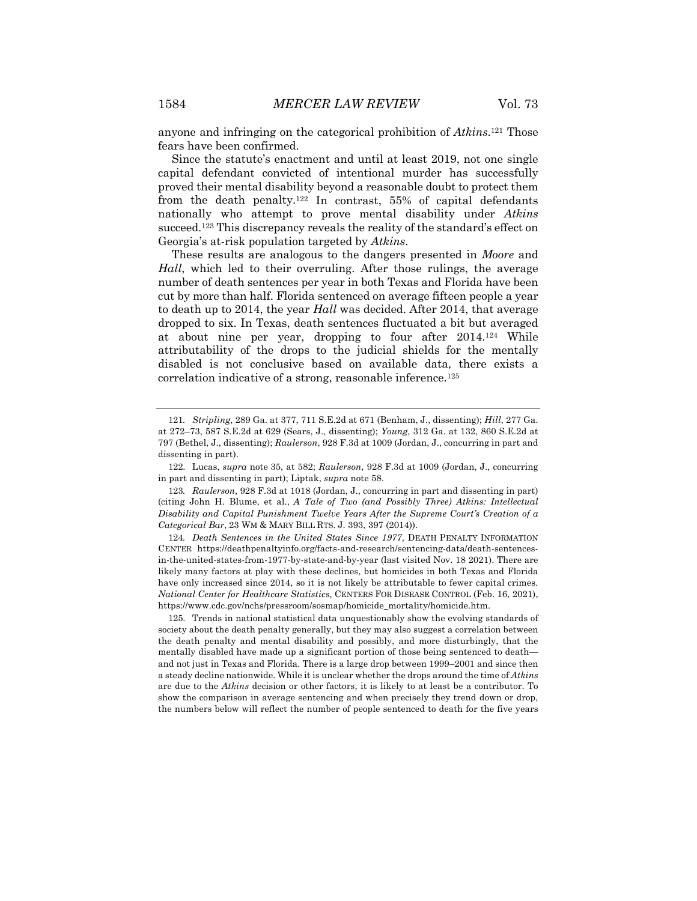anyone and infringing on the categorical prohibition of *Atkins*.121 Those fears have been confirmed.

Since the statute's enactment and until at least 2019, not one single capital defendant convicted of intentional murder has successfully proved their mental disability beyond a reasonable doubt to protect them from the death penalty.122 In contrast, 55% of capital defendants nationally who attempt to prove mental disability under *Atkins* succeed.123 This discrepancy reveals the reality of the standard's effect on Georgia's at-risk population targeted by *Atkins*.

These results are analogous to the dangers presented in *Moore* and *Hall*, which led to their overruling. After those rulings, the average number of death sentences per year in both Texas and Florida have been cut by more than half. Florida sentenced on average fifteen people a year to death up to 2014, the year *Hall* was decided. After 2014, that average dropped to six. In Texas, death sentences fluctuated a bit but averaged at about nine per year, dropping to four after 2014.124 While attributability of the drops to the judicial shields for the mentally disabled is not conclusive based on available data, there exists a correlation indicative of a strong, reasonable inference.125

124*. Death Sentences in the United States Since 1977*, DEATH PENALTY INFORMATION CENTER https://deathpenaltyinfo.org/facts-and-research/sentencing-data/death-sentencesin-the-united-states-from-1977-by-state-and-by-year (last visited Nov. 18 2021). There are likely many factors at play with these declines, but homicides in both Texas and Florida have only increased since 2014, so it is not likely be attributable to fewer capital crimes. *National Center for Healthcare Statistics*, CENTERS FOR DISEASE CONTROL (Feb. 16, 2021), https://www.cdc.gov/nchs/pressroom/sosmap/homicide\_mortality/homicide.htm.

125. Trends in national statistical data unquestionably show the evolving standards of society about the death penalty generally, but they may also suggest a correlation between the death penalty and mental disability and possibly, and more disturbingly, that the mentally disabled have made up a significant portion of those being sentenced to death and not just in Texas and Florida. There is a large drop between 1999–2001 and since then a steady decline nationwide. While it is unclear whether the drops around the time of *Atkins* are due to the *Atkins* decision or other factors, it is likely to at least be a contributor. To show the comparison in average sentencing and when precisely they trend down or drop, the numbers below will reflect the number of people sentenced to death for the five years

<sup>121</sup>*. Stripling*, 289 Ga. at 377, 711 S.E.2d at 671 (Benham, J., dissenting); *Hill*, 277 Ga. at 272–73, 587 S.E.2d at 629 (Sears, J., dissenting); *Young*, 312 Ga. at 132, 860 S.E.2d at 797 (Bethel, J., dissenting); *Raulerson*, 928 F.3d at 1009 (Jordan, J., concurring in part and dissenting in part).

<sup>122.</sup> Lucas, *supra* note 35, at 582; *Raulerson*, 928 F.3d at 1009 (Jordan, J., concurring in part and dissenting in part); Liptak, *supra* note 58.

<sup>123</sup>*. Raulerson*, 928 F.3d at 1018 (Jordan, J., concurring in part and dissenting in part) (citing John H. Blume, et al., *A Tale of Two (and Possibly Three) Atkins: Intellectual Disability and Capital Punishment Twelve Years After the Supreme Court's Creation of a Categorical Bar*, 23 WM & MARY BILL RTS. J. 393, 397 (2014)).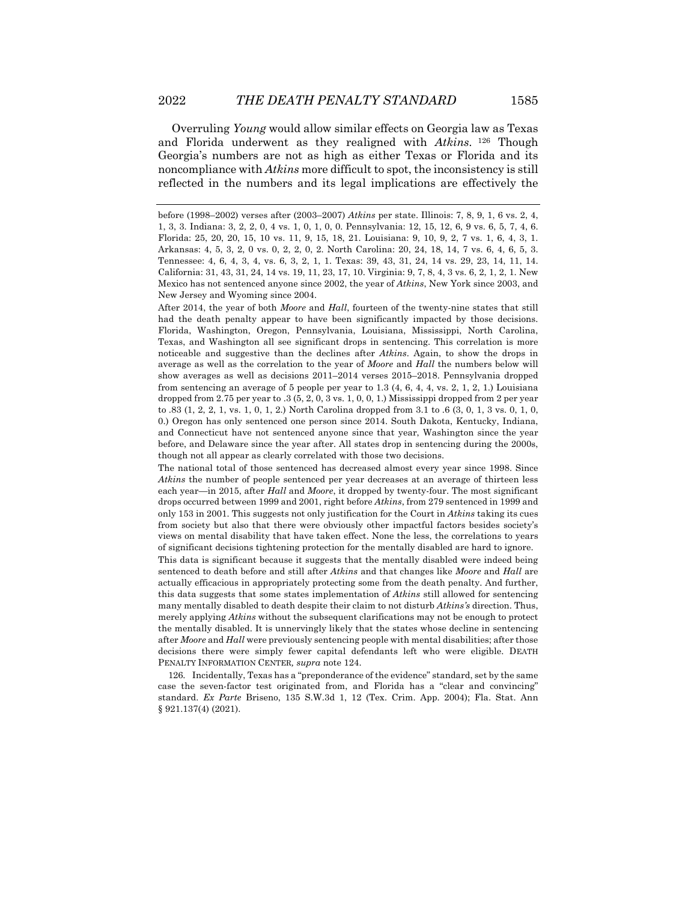Overruling *Young* would allow similar effects on Georgia law as Texas and Florida underwent as they realigned with *Atkins*. <sup>126</sup> Though Georgia's numbers are not as high as either Texas or Florida and its noncompliance with *Atkins* more difficult to spot, the inconsistency is still reflected in the numbers and its legal implications are effectively the

After 2014, the year of both *Moore* and *Hall*, fourteen of the twenty-nine states that still had the death penalty appear to have been significantly impacted by those decisions. Florida, Washington, Oregon, Pennsylvania, Louisiana, Mississippi, North Carolina, Texas, and Washington all see significant drops in sentencing. This correlation is more noticeable and suggestive than the declines after *Atkins*. Again, to show the drops in average as well as the correlation to the year of *Moore* and *Hall* the numbers below will show averages as well as decisions 2011–2014 verses 2015–2018. Pennsylvania dropped from sentencing an average of 5 people per year to 1.3 (4, 6, 4, 4, vs. 2, 1, 2, 1.) Louisiana dropped from 2.75 per year to .3 (5, 2, 0, 3 vs. 1, 0, 0, 1.) Mississippi dropped from 2 per year to .83 (1, 2, 2, 1, vs. 1, 0, 1, 2.) North Carolina dropped from 3.1 to .6 (3, 0, 1, 3 vs. 0, 1, 0, 0.) Oregon has only sentenced one person since 2014. South Dakota, Kentucky, Indiana, and Connecticut have not sentenced anyone since that year, Washington since the year before, and Delaware since the year after. All states drop in sentencing during the 2000s, though not all appear as clearly correlated with those two decisions.

The national total of those sentenced has decreased almost every year since 1998. Since *Atkins* the number of people sentenced per year decreases at an average of thirteen less each year—in 2015, after *Hall* and *Moore*, it dropped by twenty-four. The most significant drops occurred between 1999 and 2001, right before *Atkins*, from 279 sentenced in 1999 and only 153 in 2001. This suggests not only justification for the Court in *Atkins* taking its cues from society but also that there were obviously other impactful factors besides society's views on mental disability that have taken effect. None the less, the correlations to years of significant decisions tightening protection for the mentally disabled are hard to ignore.

This data is significant because it suggests that the mentally disabled were indeed being sentenced to death before and still after *Atkins* and that changes like *Moore* and *Hall* are actually efficacious in appropriately protecting some from the death penalty. And further, this data suggests that some states implementation of *Atkins* still allowed for sentencing many mentally disabled to death despite their claim to not disturb *Atkins's* direction. Thus, merely applying *Atkins* without the subsequent clarifications may not be enough to protect the mentally disabled. It is unnervingly likely that the states whose decline in sentencing after *Moore* and *Hall* were previously sentencing people with mental disabilities; after those decisions there were simply fewer capital defendants left who were eligible. DEATH PENALTY INFORMATION CENTER*, supra* note 124.

126. Incidentally, Texas has a "preponderance of the evidence" standard, set by the same case the seven-factor test originated from, and Florida has a "clear and convincing" standard. *Ex Parte* Briseno, 135 S.W.3d 1, 12 (Tex. Crim. App. 2004); Fla. Stat. Ann § 921.137(4) (2021).

before (1998–2002) verses after (2003–2007) *Atkins* per state. Illinois: 7, 8, 9, 1, 6 vs. 2, 4, 1, 3, 3. Indiana: 3, 2, 2, 0, 4 vs. 1, 0, 1, 0, 0. Pennsylvania: 12, 15, 12, 6, 9 vs. 6, 5, 7, 4, 6. Florida: 25, 20, 20, 15, 10 vs. 11, 9, 15, 18, 21. Louisiana: 9, 10, 9, 2, 7 vs. 1, 6, 4, 3, 1. Arkansas: 4, 5, 3, 2, 0 vs. 0, 2, 2, 0, 2. North Carolina: 20, 24, 18, 14, 7 vs. 6, 4, 6, 5, 3. Tennessee: 4, 6, 4, 3, 4, vs. 6, 3, 2, 1, 1. Texas: 39, 43, 31, 24, 14 vs. 29, 23, 14, 11, 14. California: 31, 43, 31, 24, 14 vs. 19, 11, 23, 17, 10. Virginia: 9, 7, 8, 4, 3 vs. 6, 2, 1, 2, 1. New Mexico has not sentenced anyone since 2002, the year of *Atkins*, New York since 2003, and New Jersey and Wyoming since 2004.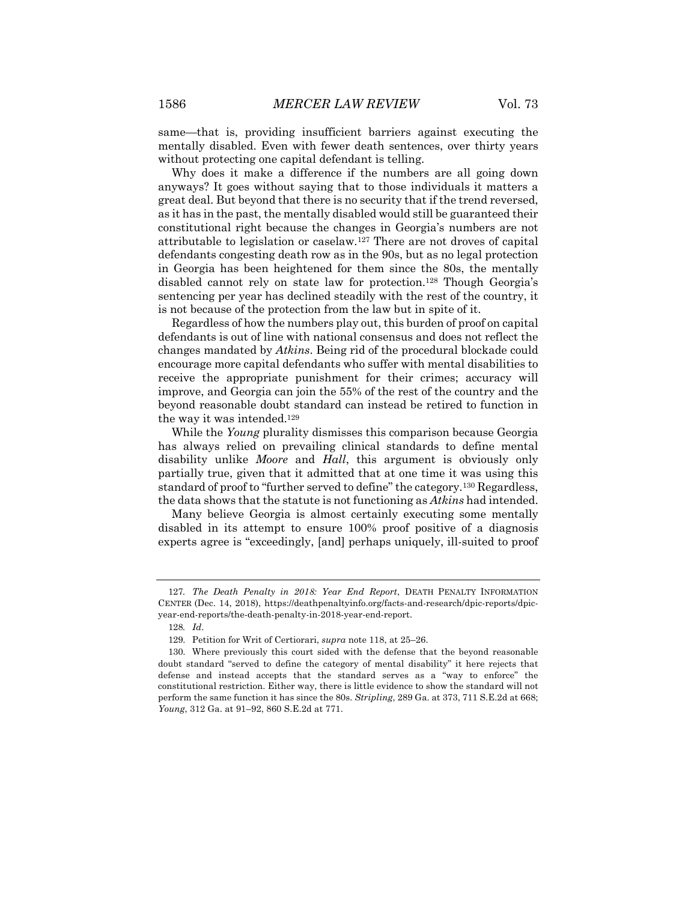same—that is, providing insufficient barriers against executing the mentally disabled. Even with fewer death sentences, over thirty years without protecting one capital defendant is telling.

Why does it make a difference if the numbers are all going down anyways? It goes without saying that to those individuals it matters a great deal. But beyond that there is no security that if the trend reversed, as it has in the past, the mentally disabled would still be guaranteed their constitutional right because the changes in Georgia's numbers are not attributable to legislation or caselaw.127 There are not droves of capital defendants congesting death row as in the 90s, but as no legal protection in Georgia has been heightened for them since the 80s, the mentally disabled cannot rely on state law for protection.128 Though Georgia's sentencing per year has declined steadily with the rest of the country, it is not because of the protection from the law but in spite of it.

Regardless of how the numbers play out, this burden of proof on capital defendants is out of line with national consensus and does not reflect the changes mandated by *Atkins*. Being rid of the procedural blockade could encourage more capital defendants who suffer with mental disabilities to receive the appropriate punishment for their crimes; accuracy will improve, and Georgia can join the 55% of the rest of the country and the beyond reasonable doubt standard can instead be retired to function in the way it was intended.129

While the *Young* plurality dismisses this comparison because Georgia has always relied on prevailing clinical standards to define mental disability unlike *Moore* and *Hall*, this argument is obviously only partially true, given that it admitted that at one time it was using this standard of proof to "further served to define" the category.130 Regardless, the data shows that the statute is not functioning as *Atkins* had intended.

Many believe Georgia is almost certainly executing some mentally disabled in its attempt to ensure 100% proof positive of a diagnosis experts agree is "exceedingly, [and] perhaps uniquely, ill-suited to proof

<sup>127</sup>*. The Death Penalty in 2018: Year End Report*, DEATH PENALTY INFORMATION CENTER (Dec. 14, 2018), https://deathpenaltyinfo.org/facts-and-research/dpic-reports/dpicyear-end-reports/the-death-penalty-in-2018-year-end-report.

<sup>128</sup>*. Id*.

<sup>129.</sup> Petition for Writ of Certiorari, *supra* note 118, at 25–26.

<sup>130.</sup> Where previously this court sided with the defense that the beyond reasonable doubt standard "served to define the category of mental disability" it here rejects that defense and instead accepts that the standard serves as a "way to enforce" the constitutional restriction. Either way, there is little evidence to show the standard will not perform the same function it has since the 80s. *Stripling*, 289 Ga. at 373, 711 S.E.2d at 668; *Young*, 312 Ga. at 91–92, 860 S.E.2d at 771.